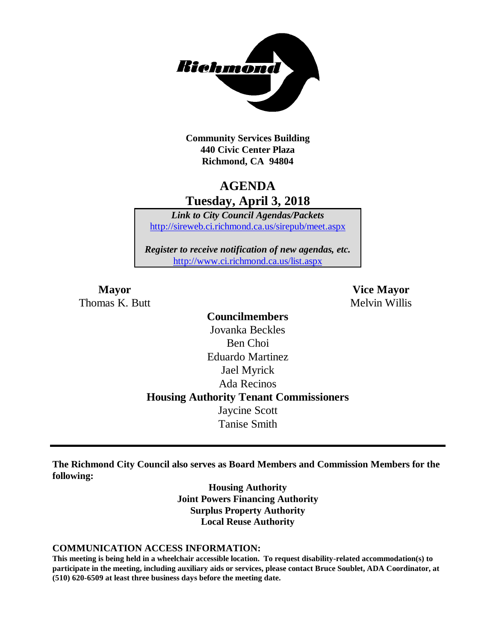

**Community Services Building 440 Civic Center Plaza Richmond, CA 94804**

# **AGENDA Tuesday, April 3, 2018**

*Link to City Council Agendas/Packets* <http://sireweb.ci.richmond.ca.us/sirepub/meet.aspx>

*Register to receive notification of new agendas, etc.* <http://www.ci.richmond.ca.us/list.aspx>

Thomas K. Butt Melvin Willis

**Mayor Vice Mayor**

**Councilmembers** Jovanka Beckles Ben Choi Eduardo Martinez Jael Myrick Ada Recinos **Housing Authority Tenant Commissioners** Jaycine Scott Tanise Smith

**The Richmond City Council also serves as Board Members and Commission Members for the following:**

> **Housing Authority Joint Powers Financing Authority Surplus Property Authority Local Reuse Authority**

#### **COMMUNICATION ACCESS INFORMATION:**

**This meeting is being held in a wheelchair accessible location. To request disability-related accommodation(s) to participate in the meeting, including auxiliary aids or services, please contact Bruce Soublet, ADA Coordinator, at (510) 620-6509 at least three business days before the meeting date.**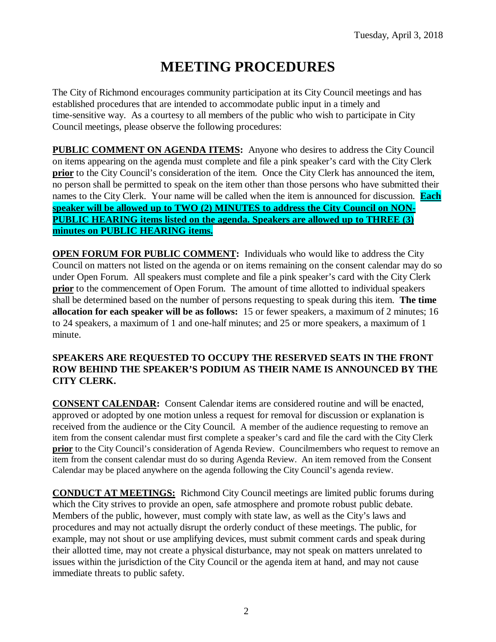# **MEETING PROCEDURES**

The City of Richmond encourages community participation at its City Council meetings and has established procedures that are intended to accommodate public input in a timely and time-sensitive way. As a courtesy to all members of the public who wish to participate in City Council meetings, please observe the following procedures:

**PUBLIC COMMENT ON AGENDA ITEMS:** Anyone who desires to address the City Council on items appearing on the agenda must complete and file a pink speaker's card with the City Clerk **prior** to the City Council's consideration of the item. Once the City Clerk has announced the item, no person shall be permitted to speak on the item other than those persons who have submitted their names to the City Clerk. Your name will be called when the item is announced for discussion. **Each speaker will be allowed up to TWO (2) MINUTES to address the City Council on NON-PUBLIC HEARING items listed on the agenda. Speakers are allowed up to THREE (3) minutes on PUBLIC HEARING items.**

**OPEN FORUM FOR PUBLIC COMMENT:** Individuals who would like to address the City Council on matters not listed on the agenda or on items remaining on the consent calendar may do so under Open Forum. All speakers must complete and file a pink speaker's card with the City Clerk **prior** to the commencement of Open Forum. The amount of time allotted to individual speakers shall be determined based on the number of persons requesting to speak during this item. **The time allocation for each speaker will be as follows:** 15 or fewer speakers, a maximum of 2 minutes; 16 to 24 speakers, a maximum of 1 and one-half minutes; and 25 or more speakers, a maximum of 1 minute.

### **SPEAKERS ARE REQUESTED TO OCCUPY THE RESERVED SEATS IN THE FRONT ROW BEHIND THE SPEAKER'S PODIUM AS THEIR NAME IS ANNOUNCED BY THE CITY CLERK.**

**CONSENT CALENDAR:** Consent Calendar items are considered routine and will be enacted, approved or adopted by one motion unless a request for removal for discussion or explanation is received from the audience or the City Council. A member of the audience requesting to remove an item from the consent calendar must first complete a speaker's card and file the card with the City Clerk **prior** to the City Council's consideration of Agenda Review. Councilmembers who request to remove an item from the consent calendar must do so during Agenda Review. An item removed from the Consent Calendar may be placed anywhere on the agenda following the City Council's agenda review.

**CONDUCT AT MEETINGS:** Richmond City Council meetings are limited public forums during which the City strives to provide an open, safe atmosphere and promote robust public debate. Members of the public, however, must comply with state law, as well as the City's laws and procedures and may not actually disrupt the orderly conduct of these meetings. The public, for example, may not shout or use amplifying devices, must submit comment cards and speak during their allotted time, may not create a physical disturbance, may not speak on matters unrelated to issues within the jurisdiction of the City Council or the agenda item at hand, and may not cause immediate threats to public safety.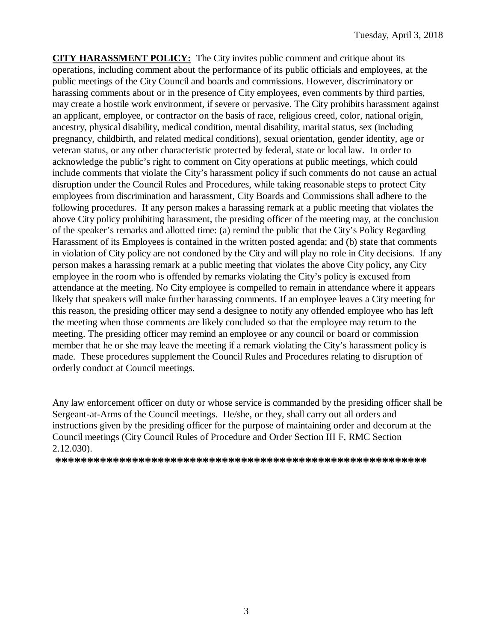**CITY HARASSMENT POLICY:** The City invites public comment and critique about its operations, including comment about the performance of its public officials and employees, at the public meetings of the City Council and boards and commissions. However, discriminatory or harassing comments about or in the presence of City employees, even comments by third parties, may create a hostile work environment, if severe or pervasive. The City prohibits harassment against an applicant, employee, or contractor on the basis of race, religious creed, color, national origin, ancestry, physical disability, medical condition, mental disability, marital status, sex (including pregnancy, childbirth, and related medical conditions), sexual orientation, gender identity, age or veteran status, or any other characteristic protected by federal, state or local law. In order to acknowledge the public's right to comment on City operations at public meetings, which could include comments that violate the City's harassment policy if such comments do not cause an actual disruption under the Council Rules and Procedures, while taking reasonable steps to protect City employees from discrimination and harassment, City Boards and Commissions shall adhere to the following procedures. If any person makes a harassing remark at a public meeting that violates the above City policy prohibiting harassment, the presiding officer of the meeting may, at the conclusion of the speaker's remarks and allotted time: (a) remind the public that the City's Policy Regarding Harassment of its Employees is contained in the written posted agenda; and (b) state that comments in violation of City policy are not condoned by the City and will play no role in City decisions. If any person makes a harassing remark at a public meeting that violates the above City policy, any City employee in the room who is offended by remarks violating the City's policy is excused from attendance at the meeting. No City employee is compelled to remain in attendance where it appears likely that speakers will make further harassing comments. If an employee leaves a City meeting for this reason, the presiding officer may send a designee to notify any offended employee who has left the meeting when those comments are likely concluded so that the employee may return to the meeting. The presiding officer may remind an employee or any council or board or commission member that he or she may leave the meeting if a remark violating the City's harassment policy is made. These procedures supplement the Council Rules and Procedures relating to disruption of orderly conduct at Council meetings.

Any law enforcement officer on duty or whose service is commanded by the presiding officer shall be Sergeant-at-Arms of the Council meetings. He/she, or they, shall carry out all orders and instructions given by the presiding officer for the purpose of maintaining order and decorum at the Council meetings (City Council Rules of Procedure and Order Section III F, RMC Section 2.12.030).

**\*\*\*\*\*\*\*\*\*\*\*\*\*\*\*\*\*\*\*\*\*\*\*\*\*\*\*\*\*\*\*\*\*\*\*\*\*\*\*\*\*\*\*\*\*\*\*\*\*\*\*\*\*\*\*\*\*\***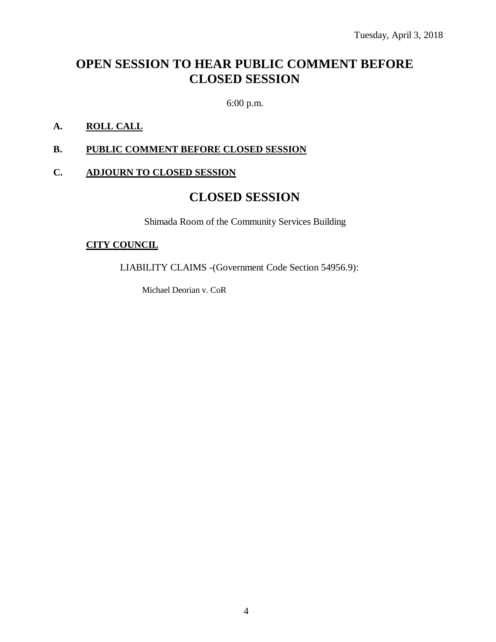# **OPEN SESSION TO HEAR PUBLIC COMMENT BEFORE CLOSED SESSION**

6:00 p.m.

## **A. ROLL CALL**

### **B. PUBLIC COMMENT BEFORE CLOSED SESSION**

### **C. ADJOURN TO CLOSED SESSION**

# **CLOSED SESSION**

Shimada Room of the Community Services Building

### **CITY COUNCIL**

LIABILITY CLAIMS -(Government Code Section 54956.9):

Michael Deorian v. CoR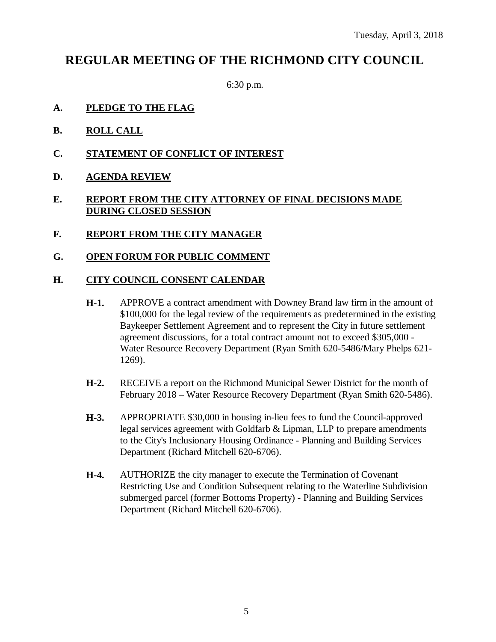# **REGULAR MEETING OF THE RICHMOND CITY COUNCIL**

6:30 p.m.

- **A. PLEDGE TO THE FLAG**
- **B. ROLL CALL**
- **C. STATEMENT OF CONFLICT OF INTEREST**
- **D. AGENDA REVIEW**

### **E. REPORT FROM THE CITY ATTORNEY OF FINAL DECISIONS MADE DURING CLOSED SESSION**

- **F. REPORT FROM THE CITY MANAGER**
- **G. OPEN FORUM FOR PUBLIC COMMENT**

#### **H. CITY COUNCIL CONSENT CALENDAR**

- **H-1.** APPROVE a contract amendment with Downey Brand law firm in the amount of \$100,000 for the legal review of the requirements as predetermined in the existing Baykeeper Settlement Agreement and to represent the City in future settlement agreement discussions, for a total contract amount not to exceed \$305,000 - Water Resource Recovery Department (Ryan Smith 620-5486/Mary Phelps 621- 1269).
- **H-2.** RECEIVE a report on the Richmond Municipal Sewer District for the month of February 2018 – Water Resource Recovery Department (Ryan Smith 620-5486).
- **H-3.** APPROPRIATE \$30,000 in housing in-lieu fees to fund the Council-approved legal services agreement with Goldfarb & Lipman, LLP to prepare amendments to the City's Inclusionary Housing Ordinance - Planning and Building Services Department (Richard Mitchell 620-6706).
- **H-4.** AUTHORIZE the city manager to execute the Termination of Covenant Restricting Use and Condition Subsequent relating to the Waterline Subdivision submerged parcel (former Bottoms Property) - Planning and Building Services Department (Richard Mitchell 620-6706).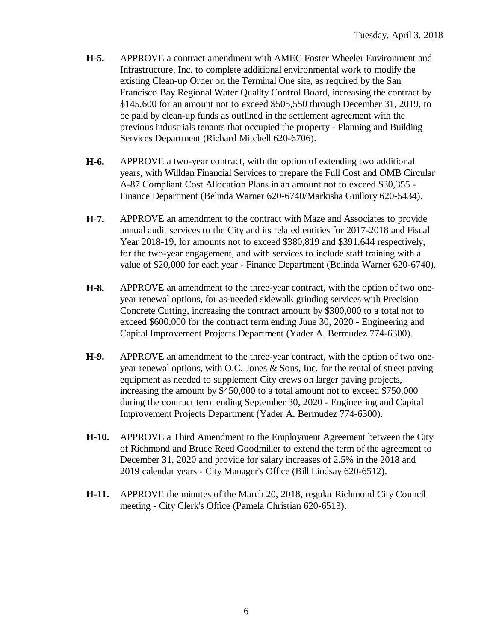- **H-5.** APPROVE a contract amendment with AMEC Foster Wheeler Environment and Infrastructure, Inc. to complete additional environmental work to modify the existing Clean-up Order on the Terminal One site, as required by the San Francisco Bay Regional Water Quality Control Board, increasing the contract by \$145,600 for an amount not to exceed \$505,550 through December 31, 2019, to be paid by clean-up funds as outlined in the settlement agreement with the previous industrials tenants that occupied the property - Planning and Building Services Department (Richard Mitchell 620-6706).
- **H-6.** APPROVE a two-year contract, with the option of extending two additional years, with Willdan Financial Services to prepare the Full Cost and OMB Circular A-87 Compliant Cost Allocation Plans in an amount not to exceed \$30,355 - Finance Department (Belinda Warner 620-6740/Markisha Guillory 620-5434).
- **H-7.** APPROVE an amendment to the contract with Maze and Associates to provide annual audit services to the City and its related entities for 2017-2018 and Fiscal Year 2018-19, for amounts not to exceed \$380,819 and \$391,644 respectively, for the two-year engagement, and with services to include staff training with a value of \$20,000 for each year - Finance Department (Belinda Warner 620-6740).
- **H-8.** APPROVE an amendment to the three-year contract, with the option of two oneyear renewal options, for as-needed sidewalk grinding services with Precision Concrete Cutting, increasing the contract amount by \$300,000 to a total not to exceed \$600,000 for the contract term ending June 30, 2020 - Engineering and Capital Improvement Projects Department (Yader A. Bermudez 774-6300).
- **H-9.** APPROVE an amendment to the three-year contract, with the option of two oneyear renewal options, with O.C. Jones & Sons, Inc. for the rental of street paving equipment as needed to supplement City crews on larger paving projects, increasing the amount by \$450,000 to a total amount not to exceed \$750,000 during the contract term ending September 30, 2020 - Engineering and Capital Improvement Projects Department (Yader A. Bermudez 774-6300).
- **H-10.** APPROVE a Third Amendment to the Employment Agreement between the City of Richmond and Bruce Reed Goodmiller to extend the term of the agreement to December 31, 2020 and provide for salary increases of 2.5% in the 2018 and 2019 calendar years - City Manager's Office (Bill Lindsay 620-6512).
- **H-11.** APPROVE the minutes of the March 20, 2018, regular Richmond City Council meeting - City Clerk's Office (Pamela Christian 620-6513).